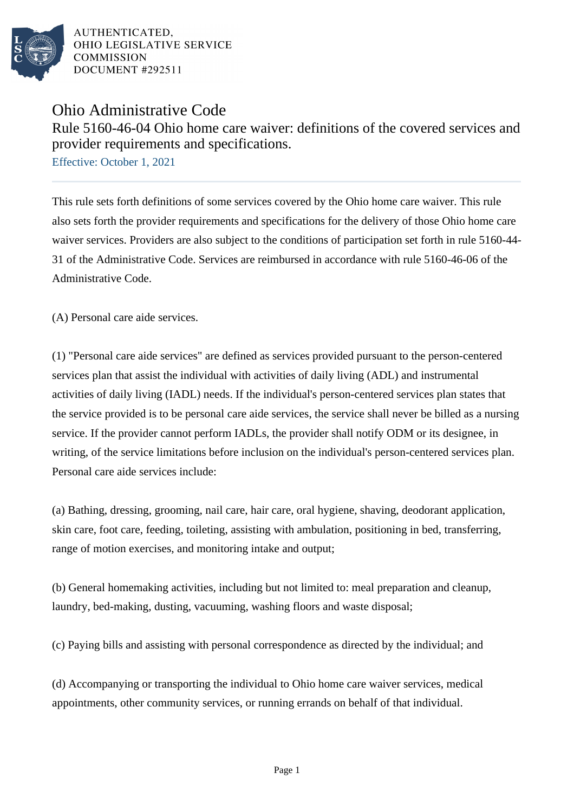

## Ohio Administrative Code

Rule 5160-46-04 Ohio home care waiver: definitions of the covered services and provider requirements and specifications.

Effective: October 1, 2021

This rule sets forth definitions of some services covered by the Ohio home care waiver. This rule also sets forth the provider requirements and specifications for the delivery of those Ohio home care waiver services. Providers are also subject to the conditions of participation set forth in rule 5160-44- 31 of the Administrative Code. Services are reimbursed in accordance with rule 5160-46-06 of the Administrative Code.

(A) Personal care aide services.

(1) "Personal care aide services" are defined as services provided pursuant to the person-centered services plan that assist the individual with activities of daily living (ADL) and instrumental activities of daily living (IADL) needs. If the individual's person-centered services plan states that the service provided is to be personal care aide services, the service shall never be billed as a nursing service. If the provider cannot perform IADLs, the provider shall notify ODM or its designee, in writing, of the service limitations before inclusion on the individual's person-centered services plan. Personal care aide services include:

(a) Bathing, dressing, grooming, nail care, hair care, oral hygiene, shaving, deodorant application, skin care, foot care, feeding, toileting, assisting with ambulation, positioning in bed, transferring, range of motion exercises, and monitoring intake and output;

(b) General homemaking activities, including but not limited to: meal preparation and cleanup, laundry, bed-making, dusting, vacuuming, washing floors and waste disposal;

(c) Paying bills and assisting with personal correspondence as directed by the individual; and

(d) Accompanying or transporting the individual to Ohio home care waiver services, medical appointments, other community services, or running errands on behalf of that individual.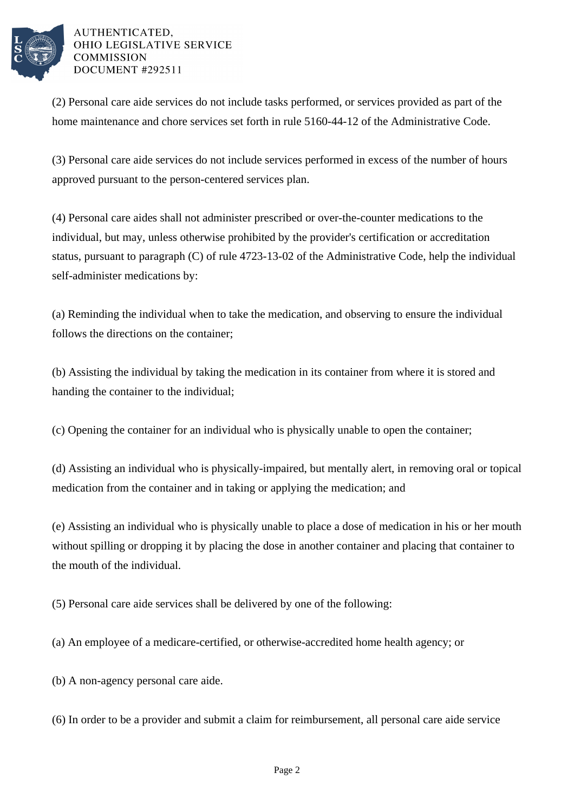

(2) Personal care aide services do not include tasks performed, or services provided as part of the home maintenance and chore services set forth in rule 5160-44-12 of the Administrative Code.

(3) Personal care aide services do not include services performed in excess of the number of hours approved pursuant to the person-centered services plan.

(4) Personal care aides shall not administer prescribed or over-the-counter medications to the individual, but may, unless otherwise prohibited by the provider's certification or accreditation status, pursuant to paragraph (C) of rule 4723-13-02 of the Administrative Code, help the individual self-administer medications by:

(a) Reminding the individual when to take the medication, and observing to ensure the individual follows the directions on the container;

(b) Assisting the individual by taking the medication in its container from where it is stored and handing the container to the individual;

(c) Opening the container for an individual who is physically unable to open the container;

(d) Assisting an individual who is physically-impaired, but mentally alert, in removing oral or topical medication from the container and in taking or applying the medication; and

(e) Assisting an individual who is physically unable to place a dose of medication in his or her mouth without spilling or dropping it by placing the dose in another container and placing that container to the mouth of the individual.

(5) Personal care aide services shall be delivered by one of the following:

(a) An employee of a medicare-certified, or otherwise-accredited home health agency; or

(b) A non-agency personal care aide.

(6) In order to be a provider and submit a claim for reimbursement, all personal care aide service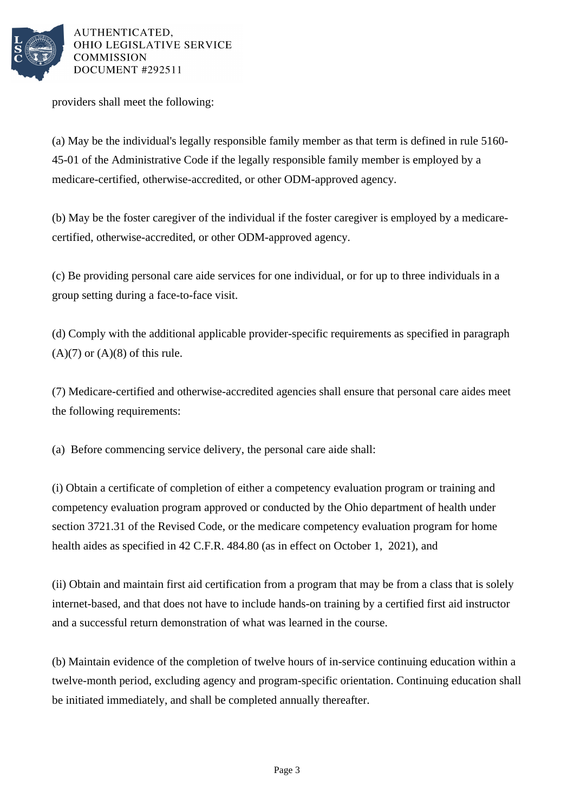

providers shall meet the following:

(a) May be the individual's legally responsible family member as that term is defined in rule 5160- 45-01 of the Administrative Code if the legally responsible family member is employed by a medicare-certified, otherwise-accredited, or other ODM-approved agency.

(b) May be the foster caregiver of the individual if the foster caregiver is employed by a medicarecertified, otherwise-accredited, or other ODM-approved agency.

(c) Be providing personal care aide services for one individual, or for up to three individuals in a group setting during a face-to-face visit.

(d) Comply with the additional applicable provider-specific requirements as specified in paragraph  $(A)(7)$  or  $(A)(8)$  of this rule.

(7) Medicare-certified and otherwise-accredited agencies shall ensure that personal care aides meet the following requirements:

(a) Before commencing service delivery, the personal care aide shall:

(i) Obtain a certificate of completion of either a competency evaluation program or training and competency evaluation program approved or conducted by the Ohio department of health under section 3721.31 of the Revised Code, or the medicare competency evaluation program for home health aides as specified in 42 C.F.R. 484.80 (as in effect on October 1, 2021), and

(ii) Obtain and maintain first aid certification from a program that may be from a class that is solely internet-based, and that does not have to include hands-on training by a certified first aid instructor and a successful return demonstration of what was learned in the course.

(b) Maintain evidence of the completion of twelve hours of in-service continuing education within a twelve-month period, excluding agency and program-specific orientation. Continuing education shall be initiated immediately, and shall be completed annually thereafter.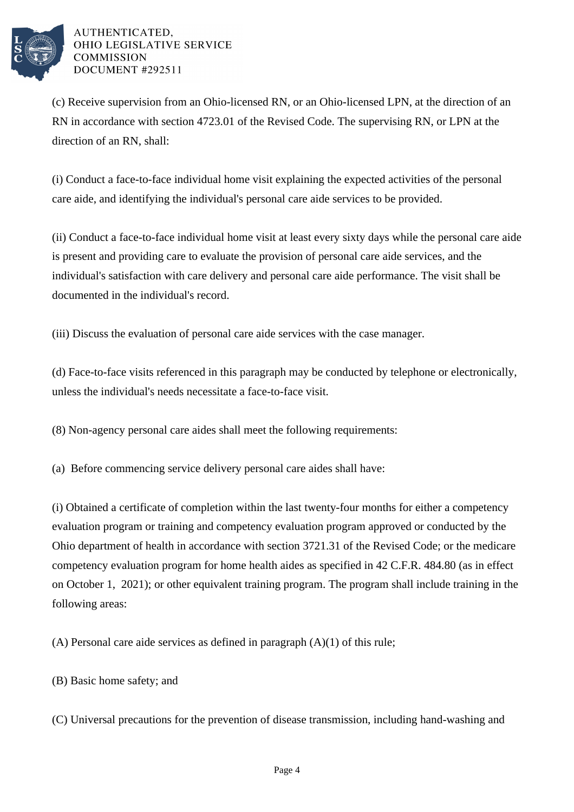

(c) Receive supervision from an Ohio-licensed RN, or an Ohio-licensed LPN, at the direction of an RN in accordance with section 4723.01 of the Revised Code. The supervising RN, or LPN at the direction of an RN, shall:

(i) Conduct a face-to-face individual home visit explaining the expected activities of the personal care aide, and identifying the individual's personal care aide services to be provided.

(ii) Conduct a face-to-face individual home visit at least every sixty days while the personal care aide is present and providing care to evaluate the provision of personal care aide services, and the individual's satisfaction with care delivery and personal care aide performance. The visit shall be documented in the individual's record.

(iii) Discuss the evaluation of personal care aide services with the case manager.

(d) Face-to-face visits referenced in this paragraph may be conducted by telephone or electronically, unless the individual's needs necessitate a face-to-face visit.

(8) Non-agency personal care aides shall meet the following requirements:

(a) Before commencing service delivery personal care aides shall have:

(i) Obtained a certificate of completion within the last twenty-four months for either a competency evaluation program or training and competency evaluation program approved or conducted by the Ohio department of health in accordance with section 3721.31 of the Revised Code; or the medicare competency evaluation program for home health aides as specified in 42 C.F.R. 484.80 (as in effect on October 1, 2021); or other equivalent training program. The program shall include training in the following areas:

(A) Personal care aide services as defined in paragraph (A)(1) of this rule;

(B) Basic home safety; and

(C) Universal precautions for the prevention of disease transmission, including hand-washing and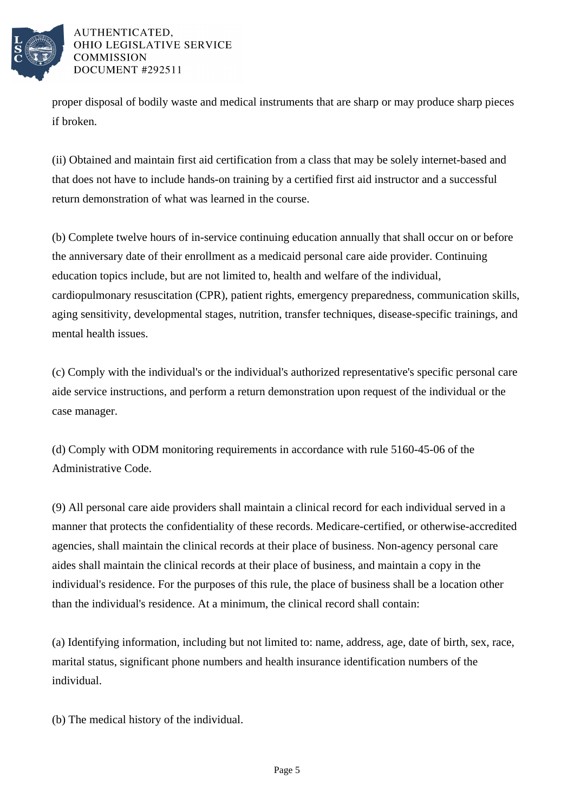

proper disposal of bodily waste and medical instruments that are sharp or may produce sharp pieces if broken.

(ii) Obtained and maintain first aid certification from a class that may be solely internet-based and that does not have to include hands-on training by a certified first aid instructor and a successful return demonstration of what was learned in the course.

(b) Complete twelve hours of in-service continuing education annually that shall occur on or before the anniversary date of their enrollment as a medicaid personal care aide provider. Continuing education topics include, but are not limited to, health and welfare of the individual, cardiopulmonary resuscitation (CPR), patient rights, emergency preparedness, communication skills, aging sensitivity, developmental stages, nutrition, transfer techniques, disease-specific trainings, and mental health issues.

(c) Comply with the individual's or the individual's authorized representative's specific personal care aide service instructions, and perform a return demonstration upon request of the individual or the case manager.

(d) Comply with ODM monitoring requirements in accordance with rule 5160-45-06 of the Administrative Code.

(9) All personal care aide providers shall maintain a clinical record for each individual served in a manner that protects the confidentiality of these records. Medicare-certified, or otherwise-accredited agencies, shall maintain the clinical records at their place of business. Non-agency personal care aides shall maintain the clinical records at their place of business, and maintain a copy in the individual's residence. For the purposes of this rule, the place of business shall be a location other than the individual's residence. At a minimum, the clinical record shall contain:

(a) Identifying information, including but not limited to: name, address, age, date of birth, sex, race, marital status, significant phone numbers and health insurance identification numbers of the individual.

(b) The medical history of the individual.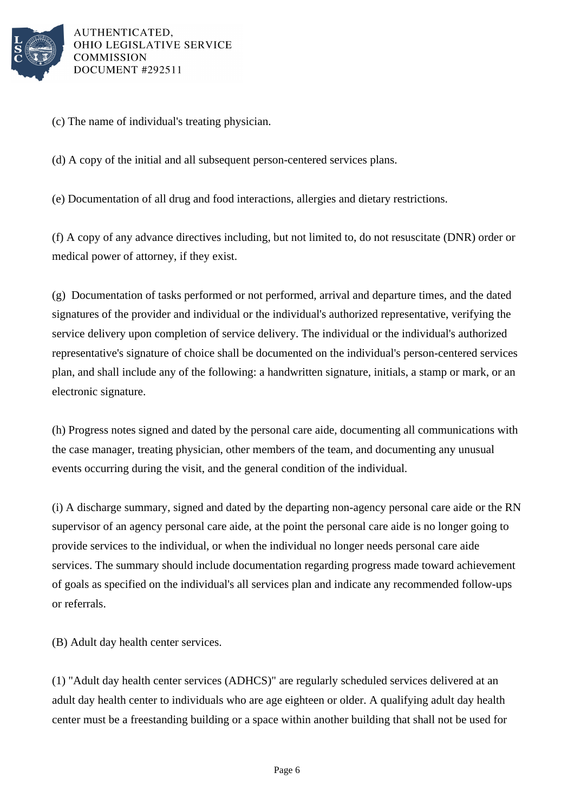

(c) The name of individual's treating physician.

(d) A copy of the initial and all subsequent person-centered services plans.

(e) Documentation of all drug and food interactions, allergies and dietary restrictions.

(f) A copy of any advance directives including, but not limited to, do not resuscitate (DNR) order or medical power of attorney, if they exist.

(g) Documentation of tasks performed or not performed, arrival and departure times, and the dated signatures of the provider and individual or the individual's authorized representative, verifying the service delivery upon completion of service delivery. The individual or the individual's authorized representative's signature of choice shall be documented on the individual's person-centered services plan, and shall include any of the following: a handwritten signature, initials, a stamp or mark, or an electronic signature.

(h) Progress notes signed and dated by the personal care aide, documenting all communications with the case manager, treating physician, other members of the team, and documenting any unusual events occurring during the visit, and the general condition of the individual.

(i) A discharge summary, signed and dated by the departing non-agency personal care aide or the RN supervisor of an agency personal care aide, at the point the personal care aide is no longer going to provide services to the individual, or when the individual no longer needs personal care aide services. The summary should include documentation regarding progress made toward achievement of goals as specified on the individual's all services plan and indicate any recommended follow-ups or referrals.

(B) Adult day health center services.

(1) "Adult day health center services (ADHCS)" are regularly scheduled services delivered at an adult day health center to individuals who are age eighteen or older. A qualifying adult day health center must be a freestanding building or a space within another building that shall not be used for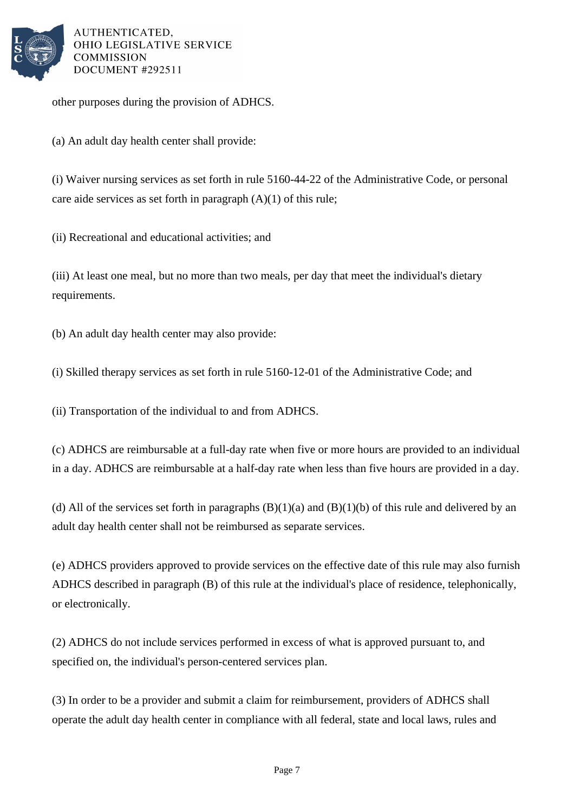

other purposes during the provision of ADHCS.

(a) An adult day health center shall provide:

(i) Waiver nursing services as set forth in rule 5160-44-22 of the Administrative Code, or personal care aide services as set forth in paragraph  $(A)(1)$  of this rule;

(ii) Recreational and educational activities; and

(iii) At least one meal, but no more than two meals, per day that meet the individual's dietary requirements.

(b) An adult day health center may also provide:

(i) Skilled therapy services as set forth in rule 5160-12-01 of the Administrative Code; and

(ii) Transportation of the individual to and from ADHCS.

(c) ADHCS are reimbursable at a full-day rate when five or more hours are provided to an individual in a day. ADHCS are reimbursable at a half-day rate when less than five hours are provided in a day.

(d) All of the services set forth in paragraphs  $(B)(1)(a)$  and  $(B)(1)(b)$  of this rule and delivered by an adult day health center shall not be reimbursed as separate services.

(e) ADHCS providers approved to provide services on the effective date of this rule may also furnish ADHCS described in paragraph (B) of this rule at the individual's place of residence, telephonically, or electronically.

(2) ADHCS do not include services performed in excess of what is approved pursuant to, and specified on, the individual's person-centered services plan.

(3) In order to be a provider and submit a claim for reimbursement, providers of ADHCS shall operate the adult day health center in compliance with all federal, state and local laws, rules and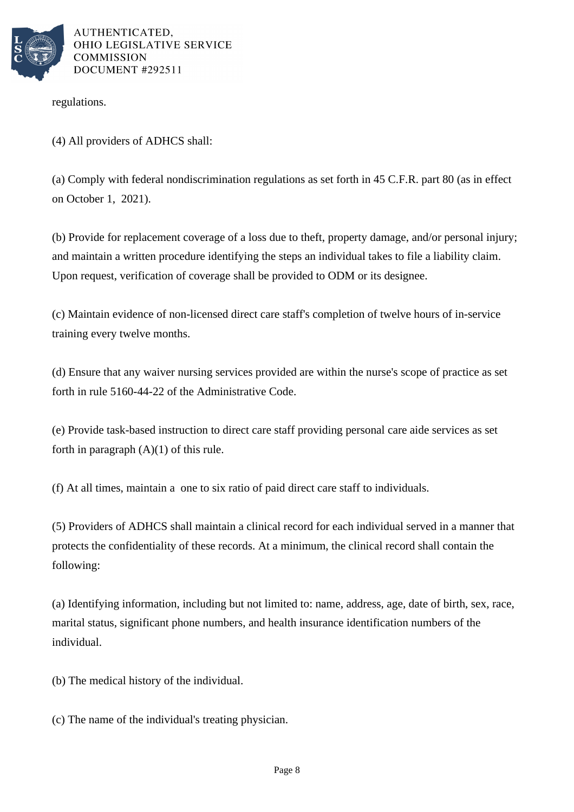

regulations.

(4) All providers of ADHCS shall:

(a) Comply with federal nondiscrimination regulations as set forth in 45 C.F.R. part 80 (as in effect on October 1, 2021).

(b) Provide for replacement coverage of a loss due to theft, property damage, and/or personal injury; and maintain a written procedure identifying the steps an individual takes to file a liability claim. Upon request, verification of coverage shall be provided to ODM or its designee.

(c) Maintain evidence of non-licensed direct care staff's completion of twelve hours of in-service training every twelve months.

(d) Ensure that any waiver nursing services provided are within the nurse's scope of practice as set forth in rule 5160-44-22 of the Administrative Code.

(e) Provide task-based instruction to direct care staff providing personal care aide services as set forth in paragraph  $(A)(1)$  of this rule.

(f) At all times, maintain a one to six ratio of paid direct care staff to individuals.

(5) Providers of ADHCS shall maintain a clinical record for each individual served in a manner that protects the confidentiality of these records. At a minimum, the clinical record shall contain the following:

(a) Identifying information, including but not limited to: name, address, age, date of birth, sex, race, marital status, significant phone numbers, and health insurance identification numbers of the individual.

(b) The medical history of the individual.

(c) The name of the individual's treating physician.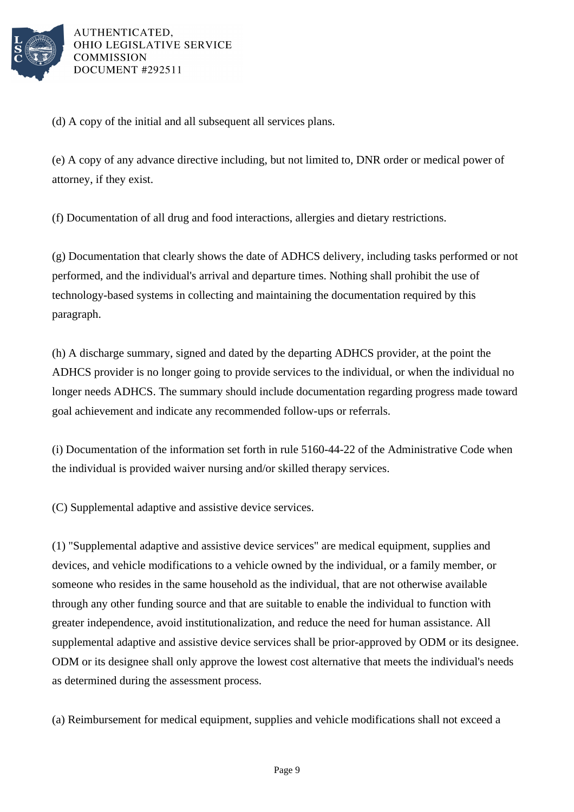

(d) A copy of the initial and all subsequent all services plans.

(e) A copy of any advance directive including, but not limited to, DNR order or medical power of attorney, if they exist.

(f) Documentation of all drug and food interactions, allergies and dietary restrictions.

(g) Documentation that clearly shows the date of ADHCS delivery, including tasks performed or not performed, and the individual's arrival and departure times. Nothing shall prohibit the use of technology-based systems in collecting and maintaining the documentation required by this paragraph.

(h) A discharge summary, signed and dated by the departing ADHCS provider, at the point the ADHCS provider is no longer going to provide services to the individual, or when the individual no longer needs ADHCS. The summary should include documentation regarding progress made toward goal achievement and indicate any recommended follow-ups or referrals.

(i) Documentation of the information set forth in rule 5160-44-22 of the Administrative Code when the individual is provided waiver nursing and/or skilled therapy services.

(C) Supplemental adaptive and assistive device services.

(1) "Supplemental adaptive and assistive device services" are medical equipment, supplies and devices, and vehicle modifications to a vehicle owned by the individual, or a family member, or someone who resides in the same household as the individual, that are not otherwise available through any other funding source and that are suitable to enable the individual to function with greater independence, avoid institutionalization, and reduce the need for human assistance. All supplemental adaptive and assistive device services shall be prior-approved by ODM or its designee. ODM or its designee shall only approve the lowest cost alternative that meets the individual's needs as determined during the assessment process.

(a) Reimbursement for medical equipment, supplies and vehicle modifications shall not exceed a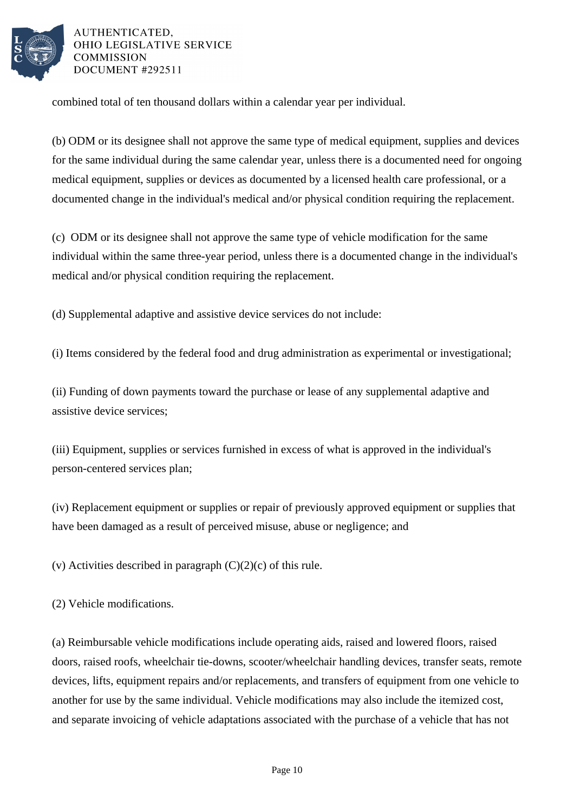

combined total of ten thousand dollars within a calendar year per individual.

(b) ODM or its designee shall not approve the same type of medical equipment, supplies and devices for the same individual during the same calendar year, unless there is a documented need for ongoing medical equipment, supplies or devices as documented by a licensed health care professional, or a documented change in the individual's medical and/or physical condition requiring the replacement.

(c) ODM or its designee shall not approve the same type of vehicle modification for the same individual within the same three-year period, unless there is a documented change in the individual's medical and/or physical condition requiring the replacement.

(d) Supplemental adaptive and assistive device services do not include:

(i) Items considered by the federal food and drug administration as experimental or investigational;

(ii) Funding of down payments toward the purchase or lease of any supplemental adaptive and assistive device services;

(iii) Equipment, supplies or services furnished in excess of what is approved in the individual's person-centered services plan;

(iv) Replacement equipment or supplies or repair of previously approved equipment or supplies that have been damaged as a result of perceived misuse, abuse or negligence; and

(v) Activities described in paragraph  $(C)(2)(c)$  of this rule.

(2) Vehicle modifications.

(a) Reimbursable vehicle modifications include operating aids, raised and lowered floors, raised doors, raised roofs, wheelchair tie-downs, scooter/wheelchair handling devices, transfer seats, remote devices, lifts, equipment repairs and/or replacements, and transfers of equipment from one vehicle to another for use by the same individual. Vehicle modifications may also include the itemized cost, and separate invoicing of vehicle adaptations associated with the purchase of a vehicle that has not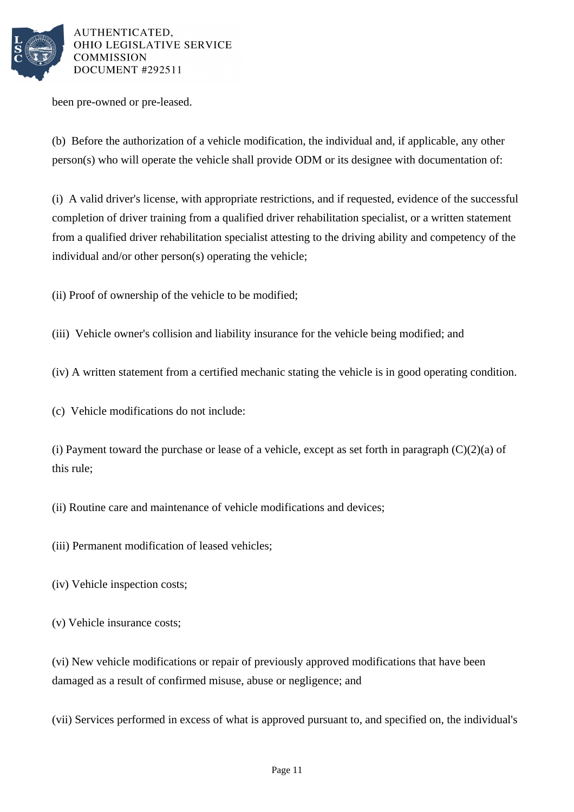

been pre-owned or pre-leased.

(b) Before the authorization of a vehicle modification, the individual and, if applicable, any other person(s) who will operate the vehicle shall provide ODM or its designee with documentation of:

(i) A valid driver's license, with appropriate restrictions, and if requested, evidence of the successful completion of driver training from a qualified driver rehabilitation specialist, or a written statement from a qualified driver rehabilitation specialist attesting to the driving ability and competency of the individual and/or other person(s) operating the vehicle;

(ii) Proof of ownership of the vehicle to be modified;

(iii) Vehicle owner's collision and liability insurance for the vehicle being modified; and

(iv) A written statement from a certified mechanic stating the vehicle is in good operating condition.

(c) Vehicle modifications do not include:

(i) Payment toward the purchase or lease of a vehicle, except as set forth in paragraph  $(C)(2)(a)$  of this rule;

(ii) Routine care and maintenance of vehicle modifications and devices;

(iii) Permanent modification of leased vehicles;

(iv) Vehicle inspection costs;

(v) Vehicle insurance costs;

(vi) New vehicle modifications or repair of previously approved modifications that have been damaged as a result of confirmed misuse, abuse or negligence; and

(vii) Services performed in excess of what is approved pursuant to, and specified on, the individual's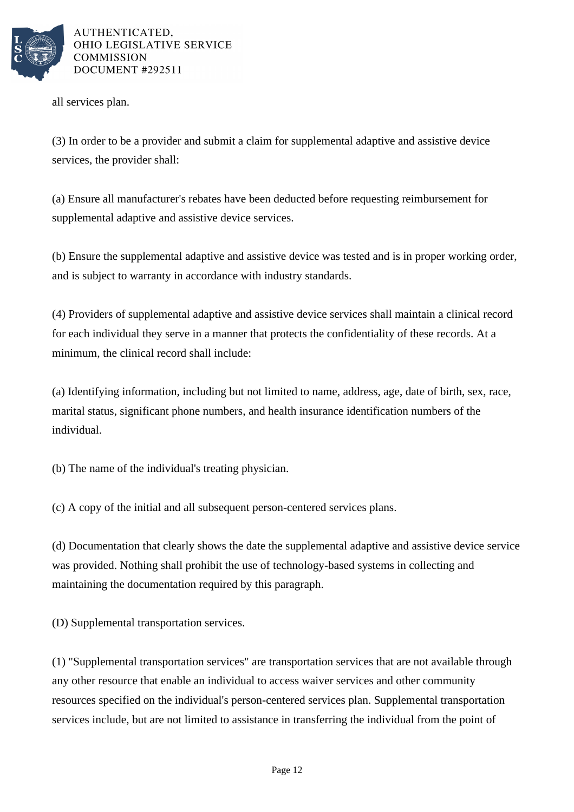

all services plan.

(3) In order to be a provider and submit a claim for supplemental adaptive and assistive device services, the provider shall:

(a) Ensure all manufacturer's rebates have been deducted before requesting reimbursement for supplemental adaptive and assistive device services.

(b) Ensure the supplemental adaptive and assistive device was tested and is in proper working order, and is subject to warranty in accordance with industry standards.

(4) Providers of supplemental adaptive and assistive device services shall maintain a clinical record for each individual they serve in a manner that protects the confidentiality of these records. At a minimum, the clinical record shall include:

(a) Identifying information, including but not limited to name, address, age, date of birth, sex, race, marital status, significant phone numbers, and health insurance identification numbers of the individual.

(b) The name of the individual's treating physician.

(c) A copy of the initial and all subsequent person-centered services plans.

(d) Documentation that clearly shows the date the supplemental adaptive and assistive device service was provided. Nothing shall prohibit the use of technology-based systems in collecting and maintaining the documentation required by this paragraph.

(D) Supplemental transportation services.

(1) "Supplemental transportation services" are transportation services that are not available through any other resource that enable an individual to access waiver services and other community resources specified on the individual's person-centered services plan. Supplemental transportation services include, but are not limited to assistance in transferring the individual from the point of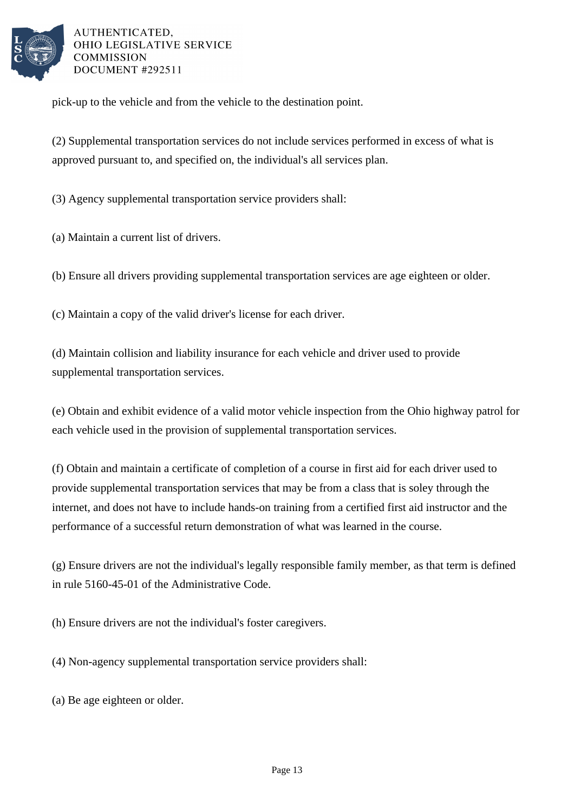

pick-up to the vehicle and from the vehicle to the destination point.

(2) Supplemental transportation services do not include services performed in excess of what is approved pursuant to, and specified on, the individual's all services plan.

(3) Agency supplemental transportation service providers shall:

(a) Maintain a current list of drivers.

(b) Ensure all drivers providing supplemental transportation services are age eighteen or older.

(c) Maintain a copy of the valid driver's license for each driver.

(d) Maintain collision and liability insurance for each vehicle and driver used to provide supplemental transportation services.

(e) Obtain and exhibit evidence of a valid motor vehicle inspection from the Ohio highway patrol for each vehicle used in the provision of supplemental transportation services.

(f) Obtain and maintain a certificate of completion of a course in first aid for each driver used to provide supplemental transportation services that may be from a class that is soley through the internet, and does not have to include hands-on training from a certified first aid instructor and the performance of a successful return demonstration of what was learned in the course.

(g) Ensure drivers are not the individual's legally responsible family member, as that term is defined in rule 5160-45-01 of the Administrative Code.

(h) Ensure drivers are not the individual's foster caregivers.

(4) Non-agency supplemental transportation service providers shall:

(a) Be age eighteen or older.